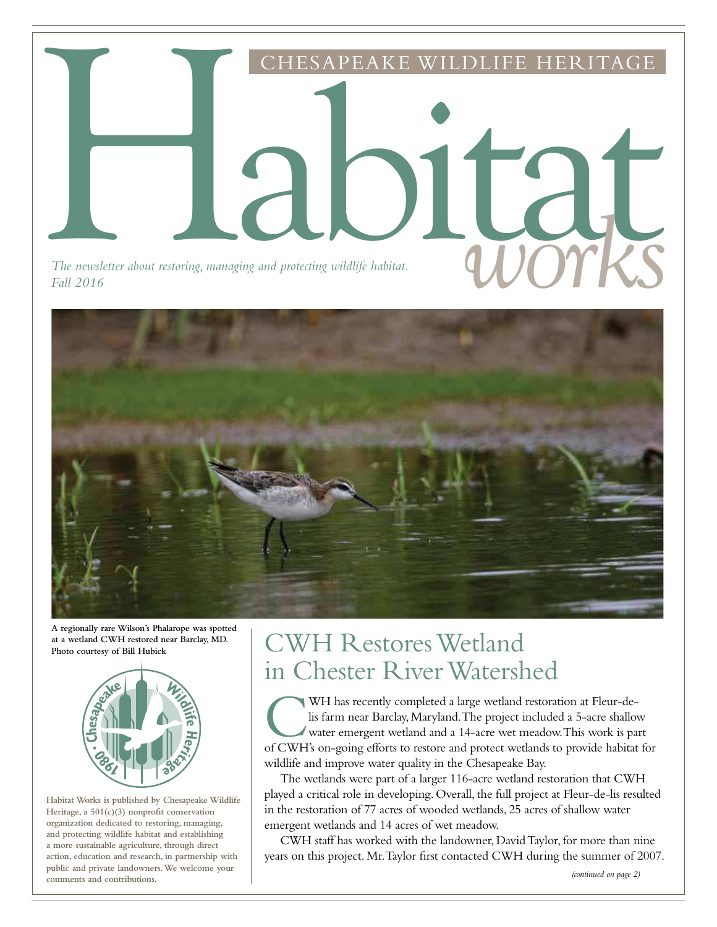

*Fall 2016*



**A regionally rare Wilson's Phalarope was spotted at a wetland CWH restored near Barclay, MD. Photo courtesy of Bill Hubick**



**Habitat Works is published by Chesapeake Wildlife Heritage, a 501(c)(3) nonprofit conservation organization dedicated to restoring, managing, and protecting wildlife habitat and establishing a more sustainable agriculture, through direct action, education and research, in partnership with public and private landowners. We welcome your comments and contributions.**

## CWH Restores Wetland in Chester River Watershed

WH has recently completed a large wetland restoration at Fleur-de-<br>lis farm near Barclay, Maryland. The project included a 5-acre shallow<br>water emergent wetland and a 14-acre wet meadow. This work is part<br>of CWH's on-going WH has recently completed a large wetland restoration at Fleur-delis farm near Barclay, Maryland. The project included a 5-acre shallow water emergent wetland and a 14-acre wet meadow. This work is part wildlife and improve water quality in the Chesapeake Bay.

The wetlands were part of a larger 116-acre wetland restoration that CWH played a critical role in developing. Overall, the full project at Fleur-de-lis resulted in the restoration of 77 acres of wooded wetlands, 25 acres of shallow water emergent wetlands and 14 acres of wet meadow.

CWH staff has worked with the landowner, David Taylor, for more than nine years on this project. Mr. Taylor first contacted CWH during the summer of 2007.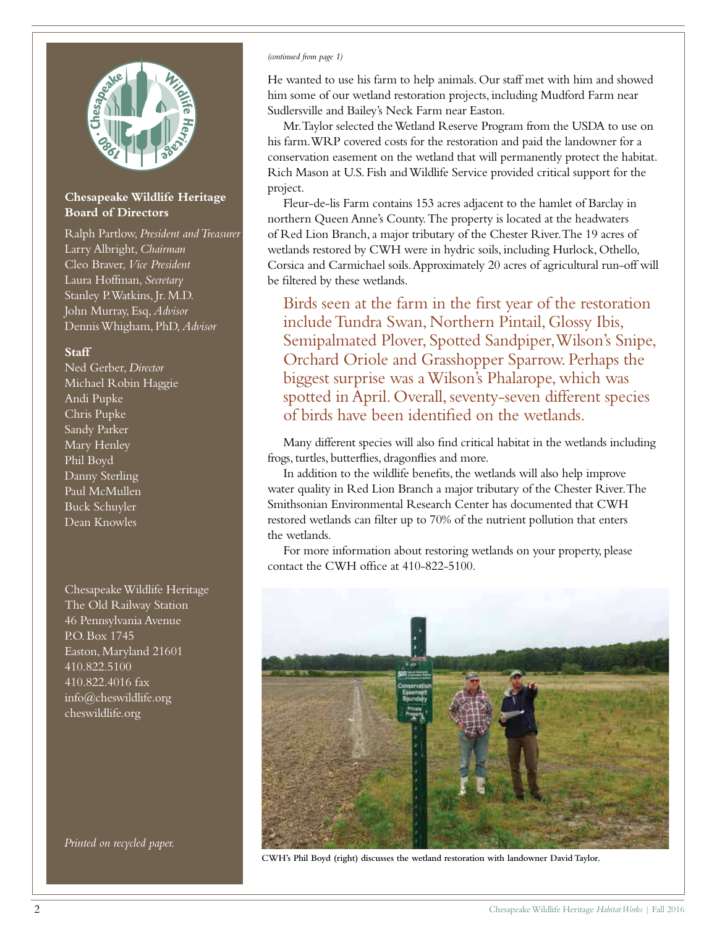

#### **Chesapeake Wildlife Heritage Board of Directors**

Ralph Partlow, *President and Treasurer* Larry Albright, *Chairman* Cleo Braver, *Vice President* Laura Hoffman, *Secretary* Stanley P. Watkins, Jr. M.D. John Murray, Esq, *Advisor* Dennis Whigham, PhD, *Advisor*

#### **Staff**

Ned Gerber, *Director* Michael Robin Haggie Andi Pupke Chris Pupke Sandy Parker Mary Henley Phil Boyd Danny Sterling Paul McMullen Buck Schuyler Dean Knowles

Chesapeake Wildlife Heritage The Old Railway Station 46 Pennsylvania Avenue P.O. Box 1745 Easton, Maryland 21601 410.822.5100 410.822.4016 fax info@cheswildlife.org cheswildlife.org

*Printed on recycled paper.*

#### *(continued from page 1)*

He wanted to use his farm to help animals. Our staff met with him and showed him some of our wetland restoration projects, including Mudford Farm near Sudlersville and Bailey's Neck Farm near Easton.

Mr. Taylor selected the Wetland Reserve Program from the USDA to use on his farm. WRP covered costs for the restoration and paid the landowner for a conservation easement on the wetland that will permanently protect the habitat. Rich Mason at U.S. Fish and Wildlife Service provided critical support for the project.

Fleur-de-lis Farm contains 153 acres adjacent to the hamlet of Barclay in northern Queen Anne's County. The property is located at the headwaters of Red Lion Branch, a major tributary of the Chester River. The 19 acres of wetlands restored by CWH were in hydric soils, including Hurlock, Othello, Corsica and Carmichael soils. Approximately 20 acres of agricultural run-off will be filtered by these wetlands.

Birds seen at the farm in the first year of the restoration include Tundra Swan, Northern Pintail, Glossy Ibis, Semipalmated Plover, Spotted Sandpiper, Wilson's Snipe, Orchard Oriole and Grasshopper Sparrow. Perhaps the biggest surprise was a Wilson's Phalarope, which was spotted in April. Overall, seventy-seven different species of birds have been identified on the wetlands.

Many different species will also find critical habitat in the wetlands including frogs, turtles, butterflies, dragonflies and more.

In addition to the wildlife benefits, the wetlands will also help improve water quality in Red Lion Branch a major tributary of the Chester River. The Smithsonian Environmental Research Center has documented that CWH restored wetlands can filter up to 70% of the nutrient pollution that enters the wetlands.

For more information about restoring wetlands on your property, please contact the CWH office at 410-822-5100.



**CWH's Phil Boyd (right) discusses the wetland restoration with landowner David Taylor.**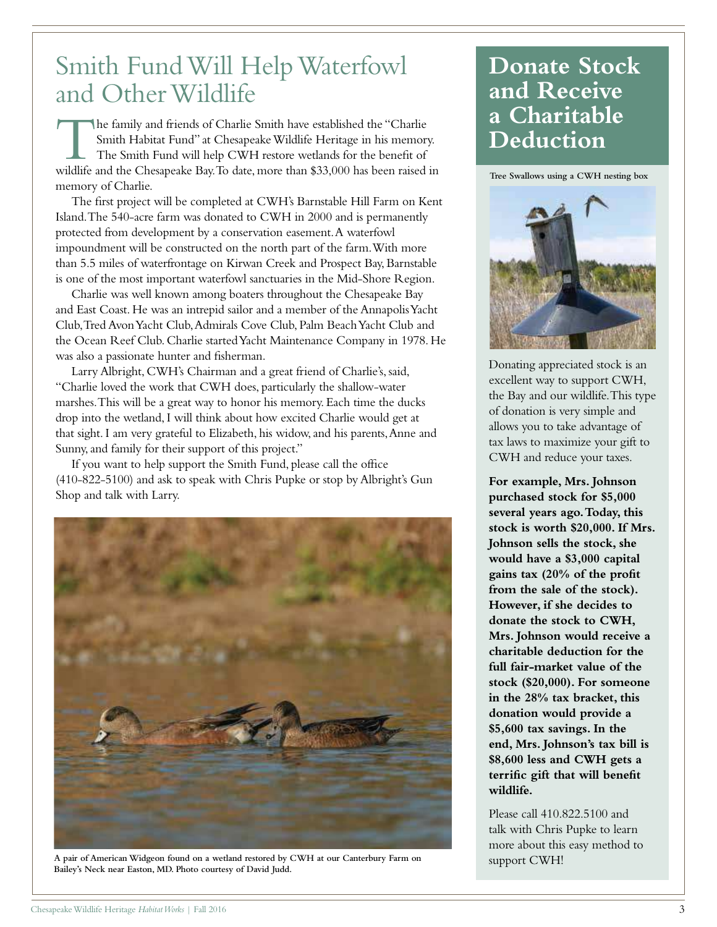## Smith Fund Will Help Waterfowl and Other Wildlife

The family and friends of Charlie Smith have established the "Charlie Smith Habitat Fund" at Chesapeake Wildlife Heritage in his memory.<br>The Smith Fund will help CWH restore wetlands for the benefit of wildlife and the Che he family and friends of Charlie Smith have established the "Charlie Smith Habitat Fund" at Chesapeake Wildlife Heritage in his memory. The Smith Fund will help CWH restore wetlands for the benefit of memory of Charlie.

The first project will be completed at CWH's Barnstable Hill Farm on Kent Island. The 540-acre farm was donated to CWH in 2000 and is permanently protected from development by a conservation easement. A waterfowl impoundment will be constructed on the north part of the farm. With more than 5.5 miles of waterfrontage on Kirwan Creek and Prospect Bay, Barnstable is one of the most important waterfowl sanctuaries in the Mid-Shore Region.

Charlie was well known among boaters throughout the Chesapeake Bay and East Coast. He was an intrepid sailor and a member of the Annapolis Yacht Club, Tred Avon Yacht Club, Admirals Cove Club, Palm Beach Yacht Club and the Ocean Reef Club. Charlie started Yacht Maintenance Company in 1978. He was also a passionate hunter and fisherman.

Larry Albright, CWH's Chairman and a great friend of Charlie's, said, "Charlie loved the work that CWH does, particularly the shallow-water marshes. This will be a great way to honor his memory. Each time the ducks drop into the wetland, I will think about how excited Charlie would get at that sight. I am very grateful to Elizabeth, his widow, and his parents, Anne and Sunny, and family for their support of this project."

If you want to help support the Smith Fund, please call the office (410-822-5100) and ask to speak with Chris Pupke or stop by Albright's Gun Shop and talk with Larry.



**A pair of American Widgeon found on a wetland restored by CWH at our Canterbury Farm on Bailey's Neck near Easton, MD. Photo courtesy of David Judd.**

#### **Donate Stock and Receive a Charitable Deduction**

**Tree Swallows using a CWH nesting box**



Donating appreciated stock is an excellent way to support CWH, the Bay and our wildlife. This type of donation is very simple and allows you to take advantage of tax laws to maximize your gift to CWH and reduce your taxes.

**For example, Mrs. Johnson purchased stock for \$5,000 several years ago. Today, this stock is worth \$20,000. If Mrs. Johnson sells the stock, she would have a \$3,000 capital gains tax (20% of the profit from the sale of the stock). However, if she decides to donate the stock to CWH, Mrs. Johnson would receive a charitable deduction for the full fair-market value of the stock (\$20,000). For someone in the 28% tax bracket, this donation would provide a \$5,600 tax savings. In the end, Mrs. Johnson's tax bill is \$8,600 less and CWH gets a terrific gift that will benefit wildlife.**

Please call 410.822.5100 and talk with Chris Pupke to learn more about this easy method to support CWH!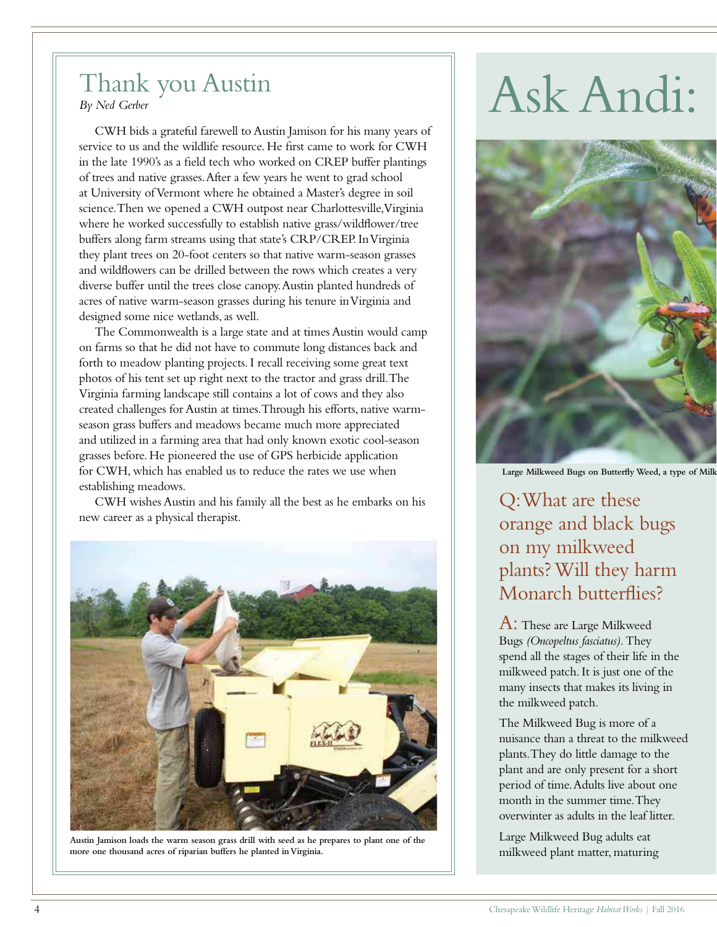## Thank you Austin

*By Ned Gerber*

CWH bids a grateful farewell to Austin Jamison for his many years of service to us and the wildlife resource. He first came to work for CWH in the late 1990's as a field tech who worked on CREP buffer plantings of trees and native grasses. After a few years he went to grad school at University of Vermont where he obtained a Master's degree in soil science. Then we opened a CWH outpost near Charlottesville, Virginia where he worked successfully to establish native grass/wildflower/tree buffers along farm streams using that state's CRP/CREP. In Virginia they plant trees on 20-foot centers so that native warm-season grasses and wildflowers can be drilled between the rows which creates a very diverse buffer until the trees close canopy. Austin planted hundreds of acres of native warm-season grasses during his tenure in Virginia and designed some nice wetlands, as well.

The Commonwealth is a large state and at times Austin would camp on farms so that he did not have to commute long distances back and forth to meadow planting projects. I recall receiving some great text photos of his tent set up right next to the tractor and grass drill. The Virginia farming landscape still contains a lot of cows and they also created challenges for Austin at times.Through his efforts, native warmseason grass buffers and meadows became much more appreciated and utilized in a farming area that had only known exotic cool-season grasses before. He pioneered the use of GPS herbicide application for CWH, which has enabled us to reduce the rates we use when establishing meadows.

CWH wishes Austin and his family all the best as he embarks on his new career as a physical therapist.



**Austin Jamison loads the warm season grass drill with seed as he prepares to plant one of the more one thousand acres of riparian buffers he planted in Virginia.**

# Ask Andi:



**Large Milkweed Bugs on Butterfly Weed, a type of Milkw**

Q: What are these orange and black bugs on my milkweed plants? Will they harm Monarch butterflies?

A: These are Large Milkweed Bugs *(Oncopeltus fasciatus).* They spend all the stages of their life in the milkweed patch. It is just one of the many insects that makes its living in the milkweed patch.

The Milkweed Bug is more of a nuisance than a threat to the milkweed plants. They do little damage to the plant and are only present for a short period of time. Adults live about one month in the summer time. They overwinter as adults in the leaf litter.

Large Milkweed Bug adults eat milkweed plant matter, maturing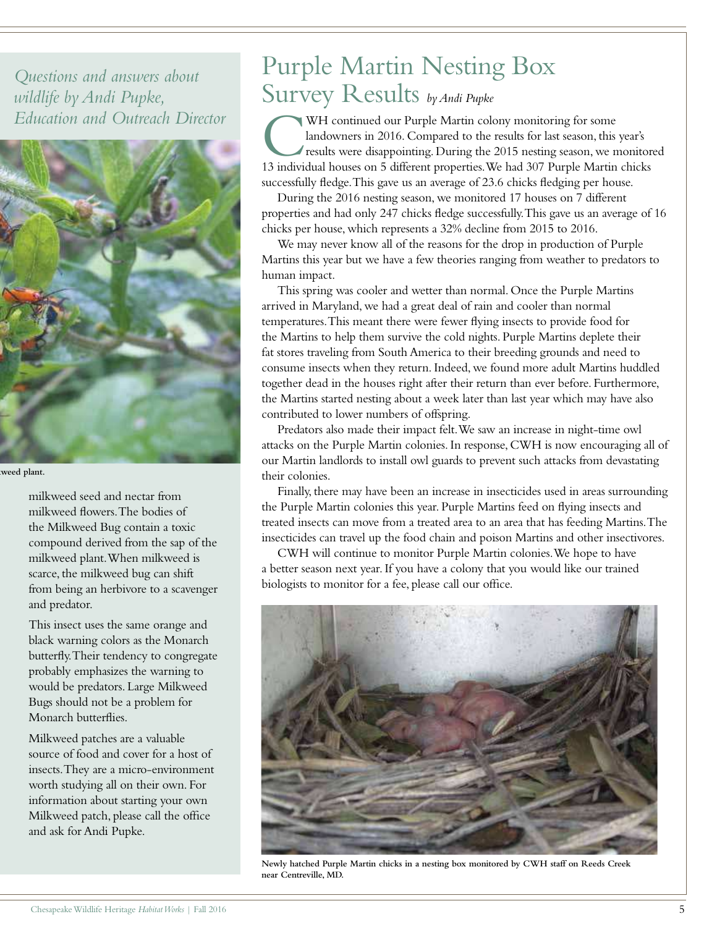*Questions and answers about wildlife by Andi Pupke, Education and Outreach Director*



weed plant.

milkweed seed and nectar from milkweed flowers. The bodies of the Milkweed Bug contain a toxic compound derived from the sap of the milkweed plant. When milkweed is scarce, the milkweed bug can shift from being an herbivore to a scavenger and predator.

This insect uses the same orange and black warning colors as the Monarch butterfly. Their tendency to congregate probably emphasizes the warning to would be predators. Large Milkweed Bugs should not be a problem for Monarch butterflies.

Milkweed patches are a valuable source of food and cover for a host of insects. They are a micro-environment worth studying all on their own. For information about starting your own Milkweed patch, please call the office and ask for Andi Pupke.

## Purple Martin Nesting Box Survey Results *by Andi Pupke*

WH continued our Purple Martin colony monitoring for some<br>landowners in 2016. Compared to the results for last season, this year's<br>results were disappointing. During the 2015 nesting season, we monitor<br>13 individual houses WH continued our Purple Martin colony monitoring for some landowners in 2016. Compared to the results for last season, this year's results were disappointing. During the 2015 nesting season, we monitored successfully fledge. This gave us an average of 23.6 chicks fledging per house.

During the 2016 nesting season, we monitored 17 houses on 7 different properties and had only 247 chicks fledge successfully. This gave us an average of 16 chicks per house, which represents a 32% decline from 2015 to 2016.

We may never know all of the reasons for the drop in production of Purple Martins this year but we have a few theories ranging from weather to predators to human impact.

This spring was cooler and wetter than normal. Once the Purple Martins arrived in Maryland, we had a great deal of rain and cooler than normal temperatures. This meant there were fewer flying insects to provide food for the Martins to help them survive the cold nights. Purple Martins deplete their fat stores traveling from South America to their breeding grounds and need to consume insects when they return. Indeed, we found more adult Martins huddled together dead in the houses right after their return than ever before. Furthermore, the Martins started nesting about a week later than last year which may have also contributed to lower numbers of offspring.

Predators also made their impact felt. We saw an increase in night-time owl attacks on the Purple Martin colonies. In response, CWH is now encouraging all of our Martin landlords to install owl guards to prevent such attacks from devastating their colonies.

Finally, there may have been an increase in insecticides used in areas surrounding the Purple Martin colonies this year. Purple Martins feed on flying insects and treated insects can move from a treated area to an area that has feeding Martins. The insecticides can travel up the food chain and poison Martins and other insectivores.

CWH will continue to monitor Purple Martin colonies. We hope to have a better season next year. If you have a colony that you would like our trained biologists to monitor for a fee, please call our office.



**Newly hatched Purple Martin chicks in a nesting box monitored by CWH staff on Reeds Creek near Centreville, MD.**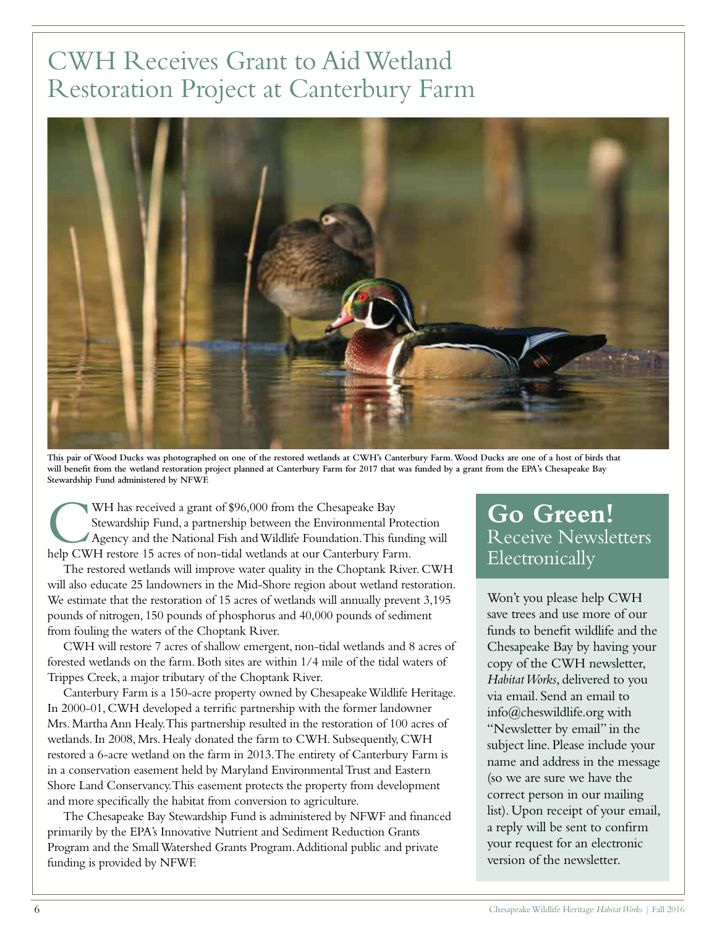# CWH Receives Grant to Aid Wetland Restoration Project at Canterbury Farm



**This pair of Wood Ducks was photographed on one of the restored wetlands at CWH's Canterbury Farm. Wood Ducks are one of a host of birds that will benefit from the wetland restoration project planned at Canterbury Farm for 2017 that was funded by a grant from the EPA's Chesapeake Bay Stewardship Fund administered by NFWF.**

WH has received a grant of \$96,000 from the Chesapeake Bay<br>Stewardship Fund, a partnership between the Environmental Proto<br>Agency and the National Fish and Wildlife Foundation. This fund<br>help CWH restore 15 acres of non-ti WH has received a grant of \$96,000 from the Chesapeake Bay Stewardship Fund, a partnership between the Environmental Protection Agency and the National Fish and Wildlife Foundation. This funding will

The restored wetlands will improve water quality in the Choptank River. CWH will also educate 25 landowners in the Mid-Shore region about wetland restoration. We estimate that the restoration of 15 acres of wetlands will annually prevent 3,195 pounds of nitrogen, 150 pounds of phosphorus and 40,000 pounds of sediment from fouling the waters of the Choptank River.

CWH will restore 7 acres of shallow emergent, non-tidal wetlands and 8 acres of forested wetlands on the farm. Both sites are within 1/4 mile of the tidal waters of Trippes Creek, a major tributary of the Choptank River.

Canterbury Farm is a 150-acre property owned by Chesapeake Wildlife Heritage. In 2000-01, CWH developed a terrific partnership with the former landowner Mrs. Martha Ann Healy. This partnership resulted in the restoration of 100 acres of wetlands. In 2008, Mrs. Healy donated the farm to CWH. Subsequently, CWH restored a 6-acre wetland on the farm in 2013. The entirety of Canterbury Farm is in a conservation easement held by Maryland Environmental Trust and Eastern Shore Land Conservancy. This easement protects the property from development and more specifically the habitat from conversion to agriculture.

The Chesapeake Bay Stewardship Fund is administered by NFWF and financed primarily by the EPA's Innovative Nutrient and Sediment Reduction Grants Program and the Small Watershed Grants Program. Additional public and private funding is provided by NFWF.

#### **Go Green!** Receive Newsletters Electronically

Won't you please help CWH save trees and use more of our funds to benefit wildlife and the Chesapeake Bay by having your copy of the CWH newsletter, *Habitat Works*, delivered to you via email. Send an email to info@cheswildlife.org with "Newsletter by email" in the subject line. Please include your name and address in the message (so we are sure we have the correct person in our mailing list). Upon receipt of your email, a reply will be sent to confirm your request for an electronic version of the newsletter.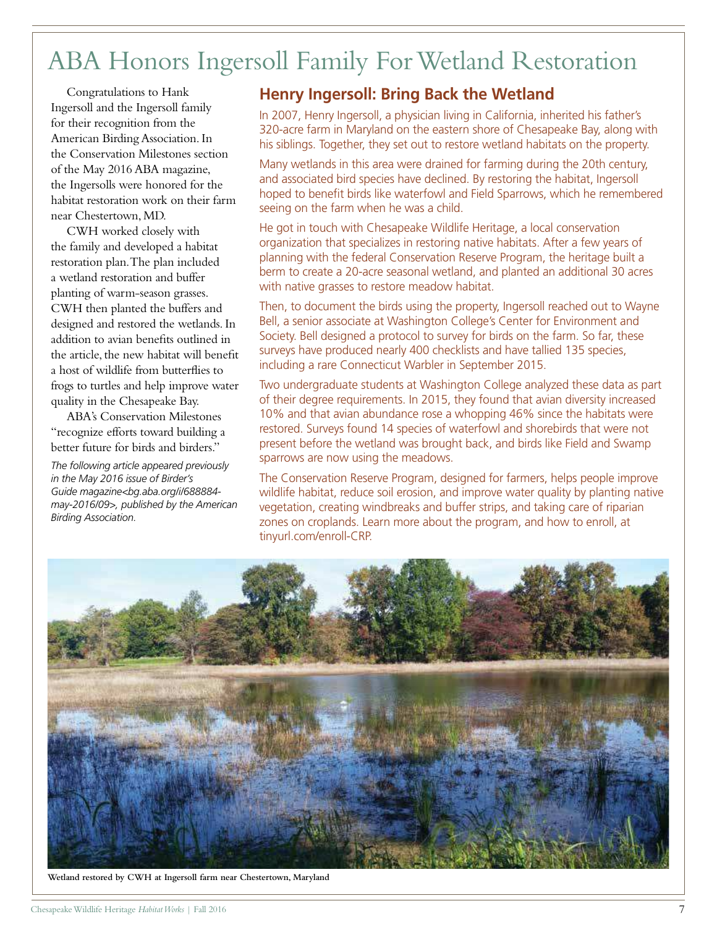# ABA Honors Ingersoll Family For Wetland Restoration

Congratulations to Hank Ingersoll and the Ingersoll family for their recognition from the American Birding Association. In the Conservation Milestones section of the May 2016 ABA magazine, the Ingersolls were honored for the habitat restoration work on their farm near Chestertown, MD.

CWH worked closely with the family and developed a habitat restoration plan. The plan included a wetland restoration and buffer planting of warm-season grasses. CWH then planted the buffers and designed and restored the wetlands. In addition to avian benefits outlined in the article, the new habitat will benefit a host of wildlife from butterflies to frogs to turtles and help improve water quality in the Chesapeake Bay.

ABA's Conservation Milestones "recognize efforts toward building a better future for birds and birders."

*The following article appeared previously in the May 2016 issue of Birder's Guide magazine<bg.aba.org/i/688884 may-2016/09>, published by the American Birding Association.*

#### **Henry Ingersoll: Bring Back the Wetland**

In 2007, Henry Ingersoll, a physician living in California, inherited his father's 320-acre farm in Maryland on the eastern shore of Chesapeake Bay, along with his siblings. Together, they set out to restore wetland habitats on the property.

Many wetlands in this area were drained for farming during the 20th century, and associated bird species have declined. By restoring the habitat, Ingersoll hoped to benefit birds like waterfowl and Field Sparrows, which he remembered seeing on the farm when he was a child.

He got in touch with Chesapeake Wildlife Heritage, a local conservation organization that specializes in restoring native habitats. After a few years of planning with the federal Conservation Reserve Program, the heritage built a berm to create a 20-acre seasonal wetland, and planted an additional 30 acres with native grasses to restore meadow habitat.

Then, to document the birds using the property, Ingersoll reached out to Wayne Bell, a senior associate at Washington College's Center for Environment and Society. Bell designed a protocol to survey for birds on the farm. So far, these surveys have produced nearly 400 checklists and have tallied 135 species, including a rare Connecticut Warbler in September 2015.

Two undergraduate students at Washington College analyzed these data as part of their degree requirements. In 2015, they found that avian diversity increased 10% and that avian abundance rose a whopping 46% since the habitats were restored. Surveys found 14 species of waterfowl and shorebirds that were not present before the wetland was brought back, and birds like Field and Swamp sparrows are now using the meadows.

The Conservation Reserve Program, designed for farmers, helps people improve wildlife habitat, reduce soil erosion, and improve water quality by planting native vegetation, creating windbreaks and buffer strips, and taking care of riparian zones on croplands. Learn more about the program, and how to enroll, at tinyurl.com/enroll-CRP.



**Wetland restored by CWH at Ingersoll farm near Chestertown, Maryland**